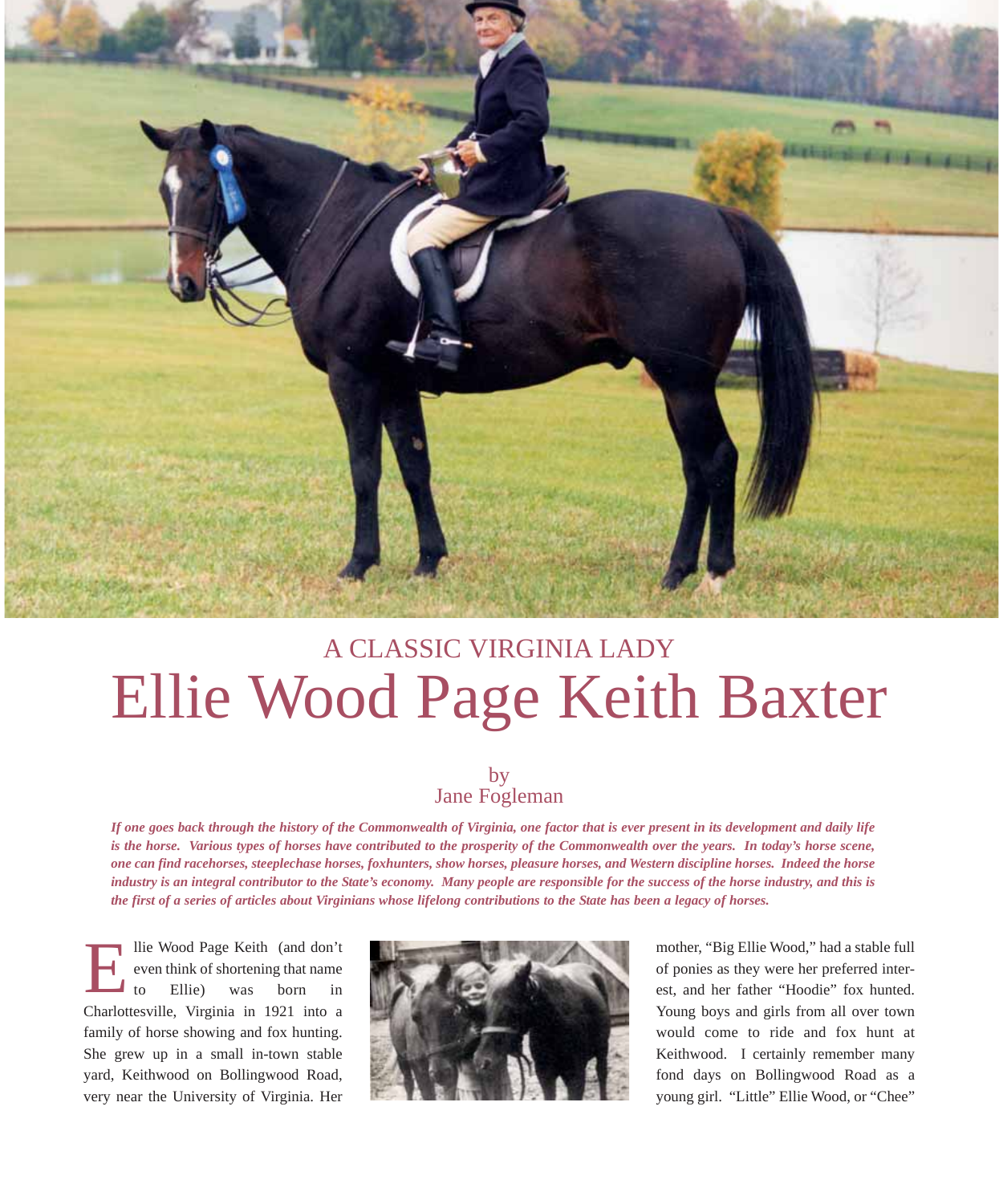

## A CLASSIC VIRGINIA LADY Ellie Wood Page Keith Baxter

## by Jane Fogleman

*If one goes back through the history of the Commonwealth of Virginia, one factor that is ever present in its development and daily life is the horse. Various types of horses have contributed to the prosperity of the Commonwealth over the years. In today's horse scene, one can find racehorses, steeplechase horses, foxhunters, show horses, pleasure horses, and Western discipline horses. Indeed the horse industry is an integral contributor to the State's economy. Many people are responsible for the success of the horse industry, and this is the first of a series of articles about Virginians whose lifelong contributions to the State has been a legacy of horses.*

llie Wood Page Keith (and don't even think of shortening that name to Ellie) was born in Charlottesville, Virginia in 1921 into a family of horse showing and fox hunting. She grew up in a small in-town stable yard, Keithwood on Bollingwood Road, very near the University of Virginia. Her E



mother, "Big Ellie Wood," had a stable full of ponies as they were her preferred interest, and her father "Hoodie" fox hunted. Young boys and girls from all over town would come to ride and fox hunt at Keithwood. I certainly remember many fond days on Bollingwood Road as a young girl. "Little" Ellie Wood, or "Chee"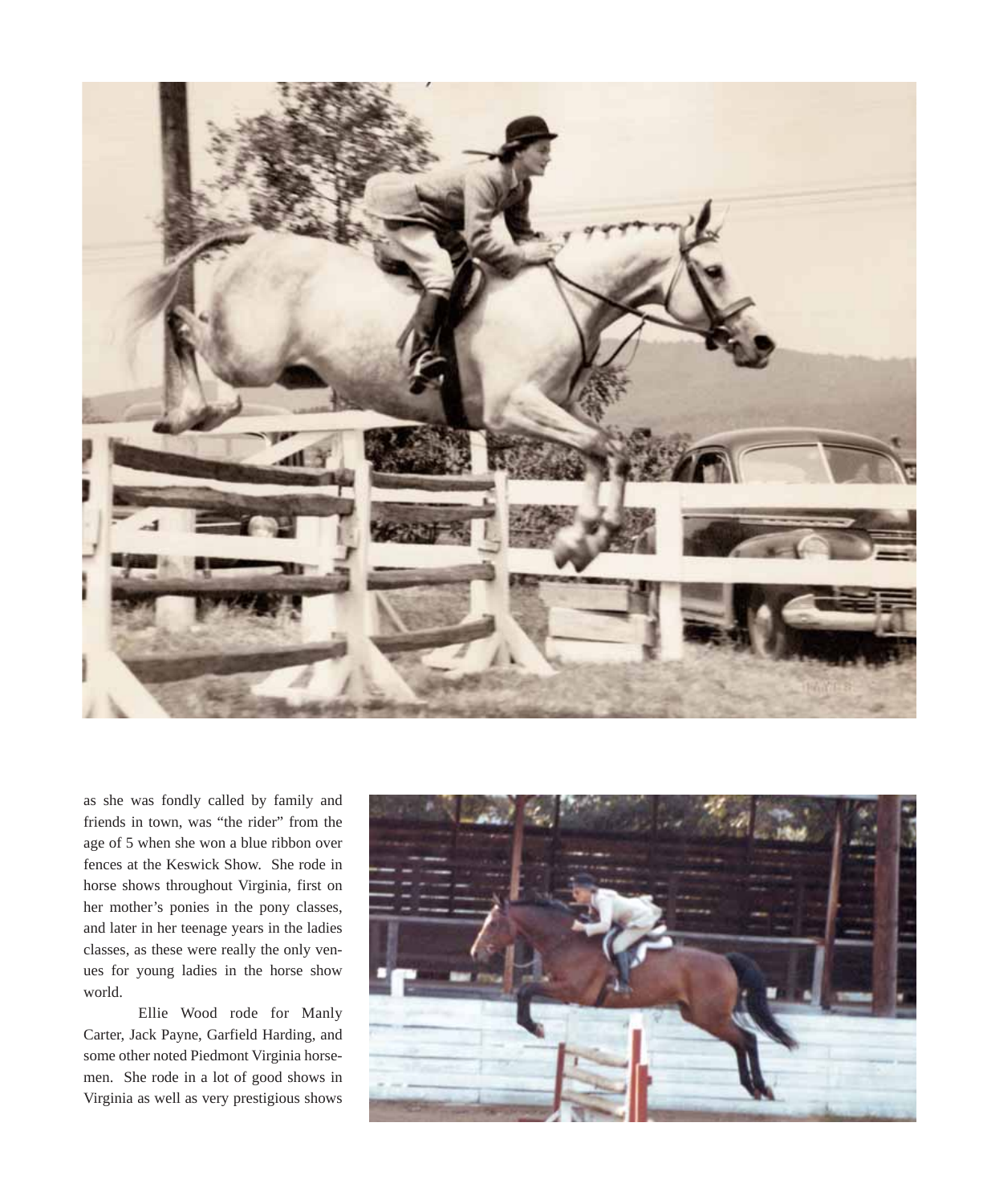

as she was fondly called by family and friends in town, was "the rider" from the age of 5 when she won a blue ribbon over fences at the Keswick Show. She rode in horse shows throughout Virginia, first on her mother's ponies in the pony classes, and later in her teenage years in the ladies classes, as these were really the only venues for young ladies in the horse show world.

Ellie Wood rode for Manly Carter, Jack Payne, Garfield Harding, and some other noted Piedmont Virginia horsemen. She rode in a lot of good shows in Virginia as well as very prestigious shows

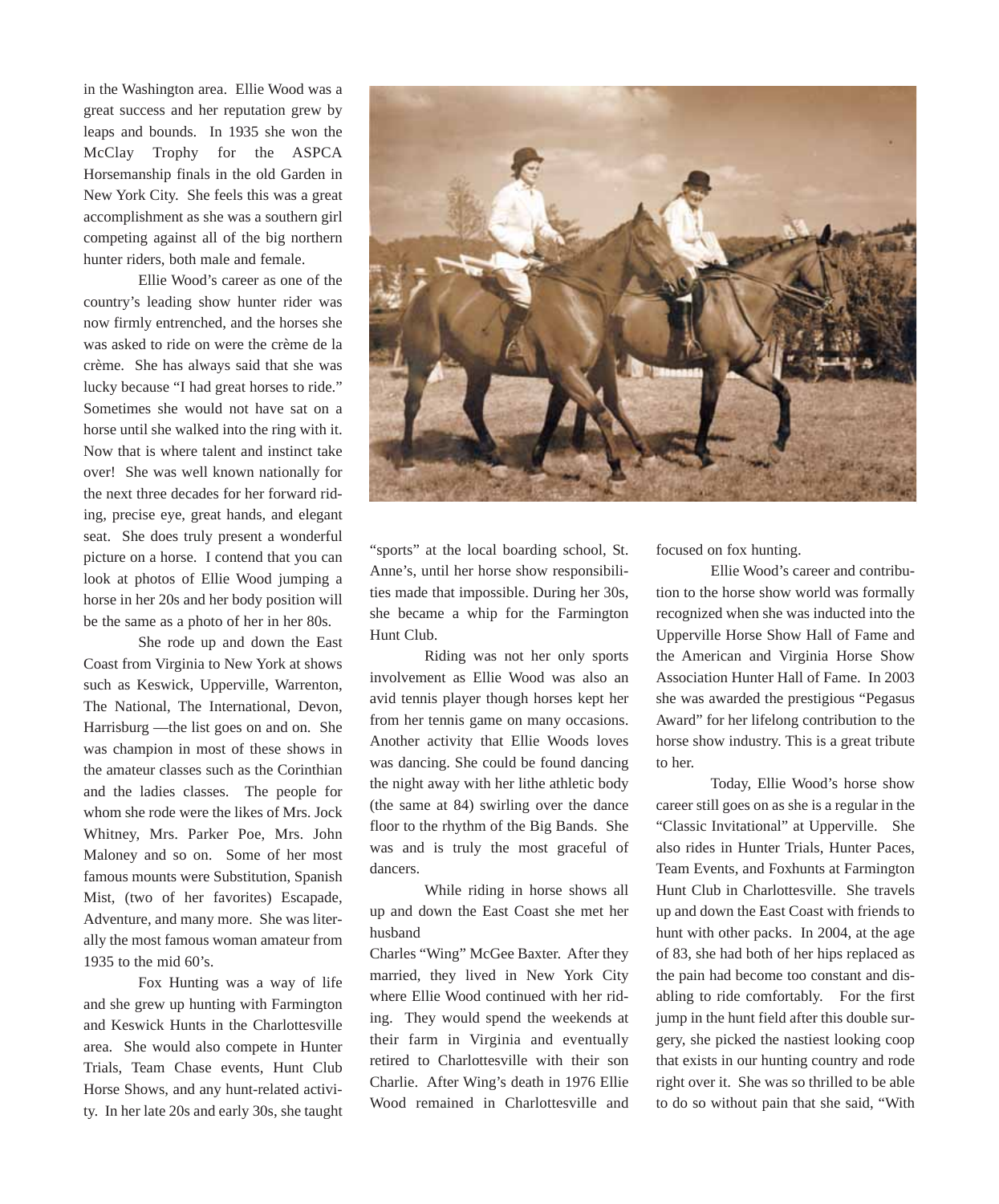in the Washington area. Ellie Wood was a great success and her reputation grew by leaps and bounds. In 1935 she won the McClay Trophy for the ASPCA Horsemanship finals in the old Garden in New York City. She feels this was a great accomplishment as she was a southern girl competing against all of the big northern hunter riders, both male and female.

Ellie Wood's career as one of the country's leading show hunter rider was now firmly entrenched, and the horses she was asked to ride on were the crème de la crème. She has always said that she was lucky because "I had great horses to ride." Sometimes she would not have sat on a horse until she walked into the ring with it. Now that is where talent and instinct take over! She was well known nationally for the next three decades for her forward riding, precise eye, great hands, and elegant seat. She does truly present a wonderful picture on a horse. I contend that you can look at photos of Ellie Wood jumping a horse in her 20s and her body position will be the same as a photo of her in her 80s.

She rode up and down the East Coast from Virginia to New York at shows such as Keswick, Upperville, Warrenton, The National, The International, Devon, Harrisburg —the list goes on and on. She was champion in most of these shows in the amateur classes such as the Corinthian and the ladies classes. The people for whom she rode were the likes of Mrs. Jock Whitney, Mrs. Parker Poe, Mrs. John Maloney and so on. Some of her most famous mounts were Substitution, Spanish Mist, (two of her favorites) Escapade, Adventure, and many more. She was literally the most famous woman amateur from 1935 to the mid 60's.

Fox Hunting was a way of life and she grew up hunting with Farmington and Keswick Hunts in the Charlottesville area. She would also compete in Hunter Trials, Team Chase events, Hunt Club Horse Shows, and any hunt-related activity. In her late 20s and early 30s, she taught



"sports" at the local boarding school, St. Anne's, until her horse show responsibilities made that impossible. During her 30s, she became a whip for the Farmington Hunt Club.

Riding was not her only sports involvement as Ellie Wood was also an avid tennis player though horses kept her from her tennis game on many occasions. Another activity that Ellie Woods loves was dancing. She could be found dancing the night away with her lithe athletic body (the same at 84) swirling over the dance floor to the rhythm of the Big Bands. She was and is truly the most graceful of dancers.

While riding in horse shows all up and down the East Coast she met her husband

Charles "Wing" McGee Baxter. After they married, they lived in New York City where Ellie Wood continued with her riding. They would spend the weekends at their farm in Virginia and eventually retired to Charlottesville with their son Charlie. After Wing's death in 1976 Ellie Wood remained in Charlottesville and focused on fox hunting.

Ellie Wood's career and contribution to the horse show world was formally recognized when she was inducted into the Upperville Horse Show Hall of Fame and the American and Virginia Horse Show Association Hunter Hall of Fame. In 2003 she was awarded the prestigious "Pegasus Award" for her lifelong contribution to the horse show industry. This is a great tribute to her.

Today, Ellie Wood's horse show career still goes on as she is a regular in the "Classic Invitational" at Upperville. She also rides in Hunter Trials, Hunter Paces, Team Events, and Foxhunts at Farmington Hunt Club in Charlottesville. She travels up and down the East Coast with friends to hunt with other packs. In 2004, at the age of 83, she had both of her hips replaced as the pain had become too constant and disabling to ride comfortably. For the first jump in the hunt field after this double surgery, she picked the nastiest looking coop that exists in our hunting country and rode right over it. She was so thrilled to be able to do so without pain that she said, "With